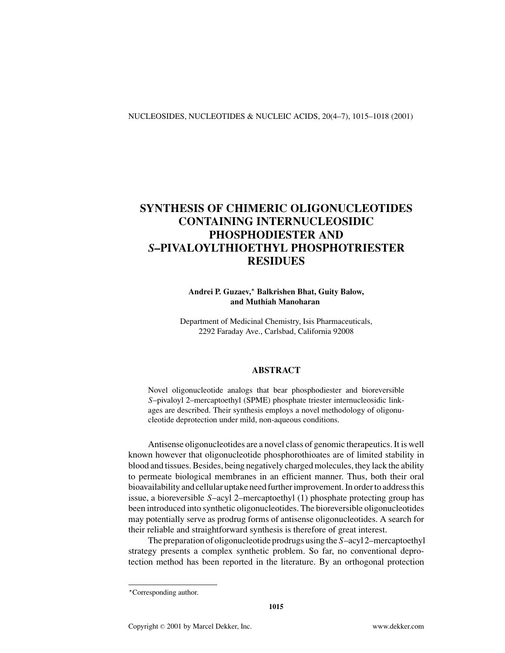# **SYNTHESIS OF CHIMERIC OLIGONUCLEOTIDES CONTAINING INTERNUCLEOSIDIC PHOSPHODIESTER AND** *S***–PIVALOYLTHIOETHYL PHOSPHOTRIESTER RESIDUES**

**Andrei P. Guzaev,***<sup>∗</sup>* **Balkrishen Bhat, Guity Balow, and Muthiah Manoharan**

Department of Medicinal Chemistry, Isis Pharmaceuticals, 2292 Faraday Ave., Carlsbad, California 92008

## **ABSTRACT**

Novel oligonucleotide analogs that bear phosphodiester and bioreversible *S*–pivaloyl 2–mercaptoethyl (SPME) phosphate triester internucleosidic linkages are described. Their synthesis employs a novel methodology of oligonucleotide deprotection under mild, non-aqueous conditions.

Antisense oligonucleotides are a novel class of genomic therapeutics. It is well known however that oligonucleotide phosphorothioates are of limited stability in blood and tissues. Besides, being negatively charged molecules, they lack the ability to permeate biological membranes in an efficient manner. Thus, both their oral bioavailability and cellular uptake need further improvement. In order to address this issue, a bioreversible *S*–acyl 2–mercaptoethyl (1) phosphate protecting group has been introduced into synthetic oligonucleotides. The bioreversible oligonucleotides may potentially serve as prodrug forms of antisense oligonucleotides. A search for their reliable and straightforward synthesis is therefore of great interest.

The preparation of oligonucleotide prodrugs using the *S*–acyl 2–mercaptoethyl strategy presents a complex synthetic problem. So far, no conventional deprotection method has been reported in the literature. By an orthogonal protection

*<sup>∗</sup>*Corresponding author.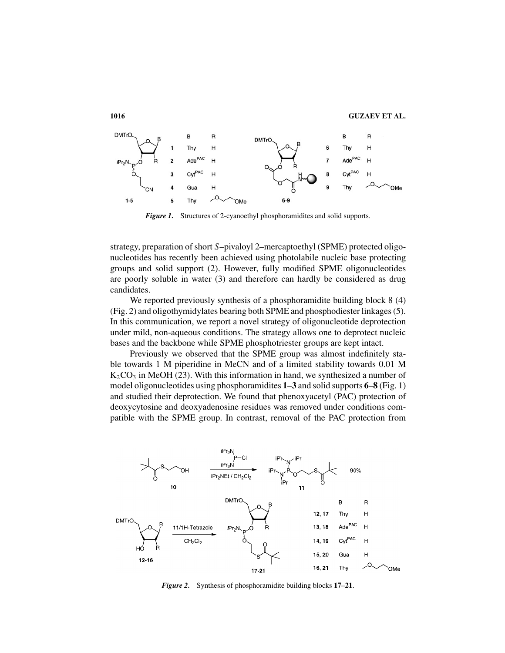

**Figure 1.** Structures of 2-cyanoethyl phosphoramidites and solid supports.

strategy, preparation of short *S*–pivaloyl 2–mercaptoethyl (SPME) protected oligonucleotides has recently been achieved using photolabile nucleic base protecting groups and solid support (2). However, fully modified SPME oligonucleotides are poorly soluble in water (3) and therefore can hardly be considered as drug candidates.

We reported previously synthesis of a phosphoramidite building block 8 (4) (Fig. 2) and oligothymidylates bearing both SPME and phosphodiester linkages (5). In this communication, we report a novel strategy of oligonucleotide deprotection under mild, non-aqueous conditions. The strategy allows one to deprotect nucleic bases and the backbone while SPME phosphotriester groups are kept intact.

Previously we observed that the SPME group was almost indefinitely stable towards 1 M piperidine in MeCN and of a limited stability towards 0.01 M  $K_2CO_3$  in MeOH (23). With this information in hand, we synthesized a number of model oligonucleotides using phosphoramidites **1**–**3** and solid supports **6**–**8** (Fig. 1) and studied their deprotection. We found that phenoxyacetyl (PAC) protection of deoxycytosine and deoxyadenosine residues was removed under conditions compatible with the SPME group. In contrast, removal of the PAC protection from



*Figure 2.* Synthesis of phosphoramidite building blocks **17**–**21**.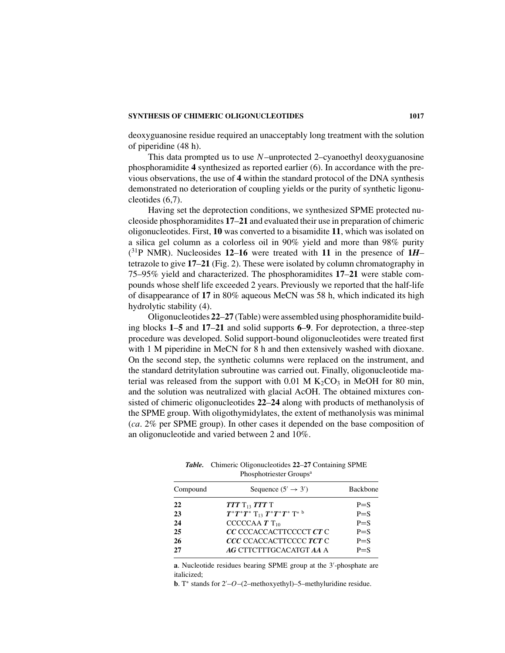### **SYNTHESIS OF CHIMERIC OLIGONUCLEOTIDES 1017**

deoxyguanosine residue required an unacceptably long treatment with the solution of piperidine (48 h).

This data prompted us to use *N*–unprotected 2–cyanoethyl deoxyguanosine phosphoramidite **4** synthesized as reported earlier (6). In accordance with the previous observations, the use of **4** within the standard protocol of the DNA synthesis demonstrated no deterioration of coupling yields or the purity of synthetic ligonucleotides (6,7).

Having set the deprotection conditions, we synthesized SPME protected nucleoside phosphoramidites **17**–**21** and evaluated their use in preparation of chimeric oligonucleotides. First, **10** was converted to a bisamidite **11**, which was isolated on a silica gel column as a colorless oil in 90% yield and more than 98% purity  $(^{31}P$  NMR). Nucleosides 12–16 were treated with 11 in the presence of 1*H*– tetrazole to give **17**–**21** (Fig. 2). These were isolated by column chromatography in 75–95% yield and characterized. The phosphoramidites **17**–**21** were stable compounds whose shelf life exceeded 2 years. Previously we reported that the half-life of disappearance of **17** in 80% aqueous MeCN was 58 h, which indicated its high hydrolytic stability (4).

Oligonucleotides **22**–**27** (Table) were assembled using phosphoramidite building blocks **1**–**5** and **17**–**21** and solid supports **6**–**9**. For deprotection, a three-step procedure was developed. Solid support-bound oligonucleotides were treated first with 1 M piperidine in MeCN for 8 h and then extensively washed with dioxane. On the second step, the synthetic columns were replaced on the instrument, and the standard detritylation subroutine was carried out. Finally, oligonucleotide material was released from the support with  $0.01$  M  $K_2CO_3$  in MeOH for 80 min, and the solution was neutralized with glacial AcOH. The obtained mixtures consisted of chimeric oligonucleotides **22**–**24** along with products of methanolysis of the SPME group. With oligothymidylates, the extent of methanolysis was minimal (*ca*. 2% per SPME group). In other cases it depended on the base composition of an oligonucleotide and varied between 2 and 10%.

*Table.* Chimeric Oligonucleotides **22**–**27** Containing SPME Phosphotriester Groups<sup>a</sup>

| Compound | Sequence $(5' \rightarrow 3')$             | <b>Backbone</b> |
|----------|--------------------------------------------|-----------------|
| 22       | $TTT$ $T_{13}$ $TTT$ $T$                   | $P = S$         |
| 23       | $T^*T^*T^*$ $T_{13}$ $T^*T^*T^*$ $T^*$ $b$ | $P = S$         |
| 24       | CCCCCAA $T$ T <sub>10</sub>                | $P = S$         |
| 25       | CC CCCACCACTTCCCCT CT C                    | $P = S$         |
| 26       | <i>CCC</i> CCACCACTTCCCC <i>TCT</i> C      | $P = S$         |
| 27       | AG CTTCTTTGCACATGT AA A                    | $P = S$         |
|          |                                            |                 |

a. Nucleotide residues bearing SPME group at the 3'-phosphate are italicized;

**b**. T<sup>\*</sup> stands for 2'–O–(2–methoxyethyl)–5–methyluridine residue.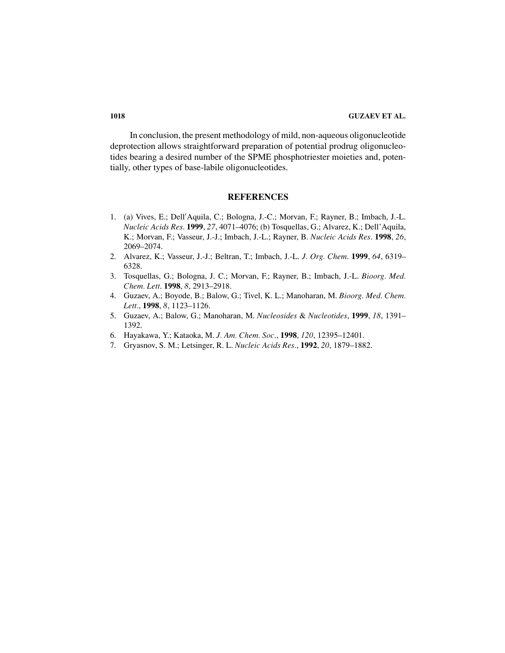In conclusion, the present methodology of mild, non-aqueous oligonucleotide deprotection allows straightforward preparation of potential prodrug oligonucleotides bearing a desired number of the SPME phosphotriester moieties and, potentially, other types of base-labile oligonucleotides.

# **REFERENCES**

- 1. (a) Vives, E.; Dell Aquila, C.; Bologna, J.-C.; Morvan, F.; Rayner, B.; Imbach, J.-L. *Nucleic Acids Res*. **1999**, *27*, 4071–4076; (b) Tosquellas, G.; Alvarez, K.; Dell'Aquila, K.; Morvan, F.; Vasseur, J.-J.; Imbach, J.-L.; Rayner, B. *Nucleic Acids Res*. **1998**, *26*, 2069–2074.
- 2. Alvarez, K.; Vasseur, J.-J.; Beltran, T.; Imbach, J.-L. *J. Org. Chem*. **1999**, *64*, 6319– 6328.
- 3. Tosquellas, G.; Bologna, J. C.; Morvan, F.; Rayner, B.; Imbach, J.-L. *Bioorg. Med. Chem. Lett*. **1998**, *8*, 2913–2918.
- 4. Guzaev, A.; Boyode, B.; Balow, G.; Tivel, K. L.; Manoharan, M. *Bioorg. Med. Chem. Lett*., **1998**, *8*, 1123–1126.
- 5. Guzaev, A.; Balow, G.; Manoharan, M. *Nucleosides* & *Nucleotides*, **1999**, *18*, 1391– 1392.
- 6. Hayakawa, Y.; Kataoka, M. *J. Am. Chem. Soc*., **1998**, *120*, 12395–12401.
- 7. Gryasnov, S. M.; Letsinger, R. L. *Nucleic Acids Res*., **1992**, *20*, 1879–1882.